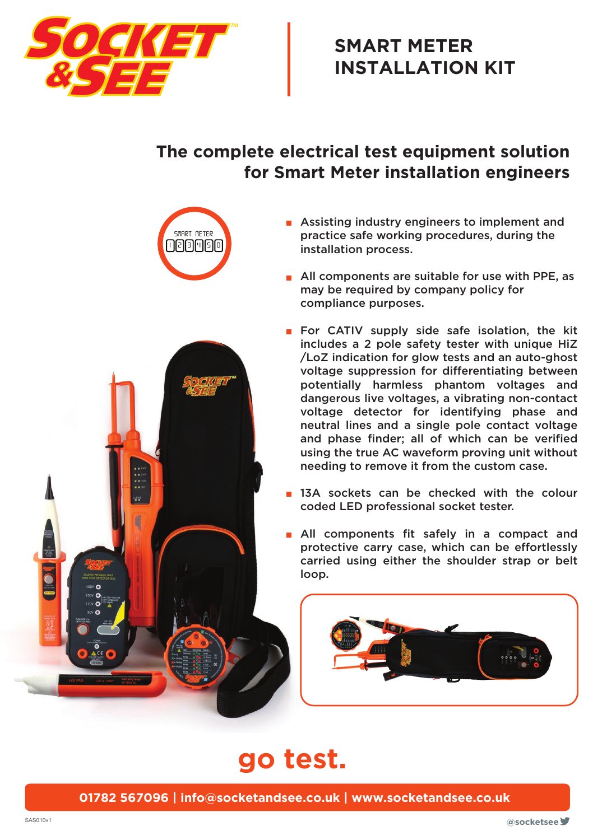

## **SMART METER INSTALLATION KIT**

## **The complete electrical test equipment solution for Smart Meter installation engineers**





- All components are suitable for use with PPE, as may be required by company policy for compliance purposes.
- For CATIV supply side safe isolation, the kit includes a 2 pole safety tester with unique HiZ /LoZ indication for glow tests and an auto-ghost voltage suppression for differentiating between potentially harmless phantom voltages and dangerous live voltages, a vibrating non-contact voltage detector for identifying phase and neutral lines and a single pole contact voltage and phase finder; all of which can be verified using the true AC waveform proving unit without needing to remove it from the custom case.
- **13A** sockets can be checked with the colour coded LED professional socket tester.
- All components fit safely in a compact and protective carry case, which can be effortlessly carried using either the shoulder strap or belt loop.



## **go test.**

**01782 567096 | info@socketandsee.co.uk | www.socketandsee.co.uk**